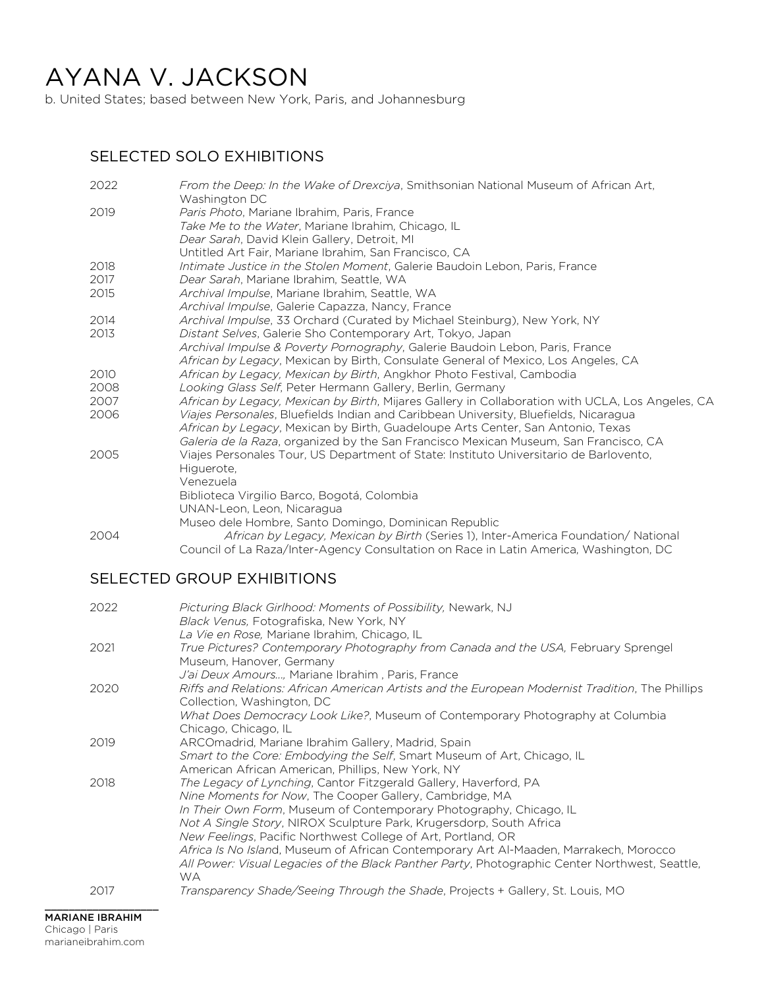# AYANA V. JACKSON

b. United States; based between New York, Paris, and Johannesburg

#### SELECTED SOLO EXHIBITIONS

| 2022 | From the Deep: In the Wake of Drexciya, Smithsonian National Museum of African Art,<br>Washington DC |
|------|------------------------------------------------------------------------------------------------------|
| 2019 | Paris Photo, Mariane Ibrahim, Paris, France                                                          |
|      | Take Me to the Water, Mariane Ibrahim, Chicago, IL                                                   |
|      | Dear Sarah, David Klein Gallery, Detroit, MI                                                         |
|      | Untitled Art Fair, Mariane Ibrahim, San Francisco, CA                                                |
| 2018 | Intimate Justice in the Stolen Moment, Galerie Baudoin Lebon, Paris, France                          |
| 2017 | Dear Sarah, Mariane Ibrahim, Seattle, WA                                                             |
| 2015 | Archival Impulse, Mariane Ibrahim, Seattle, WA                                                       |
|      | Archival Impulse, Galerie Capazza, Nancy, France                                                     |
| 2014 | Archival Impulse, 33 Orchard (Curated by Michael Steinburg), New York, NY                            |
| 2013 | Distant Selves, Galerie Sho Contemporary Art, Tokyo, Japan                                           |
|      | Archival Impulse & Poverty Pornography, Galerie Baudoin Lebon, Paris, France                         |
|      | African by Legacy, Mexican by Birth, Consulate General of Mexico, Los Angeles, CA                    |
| 2010 | African by Legacy, Mexican by Birth, Angkhor Photo Festival, Cambodia                                |
| 2008 | Looking Glass Self, Peter Hermann Gallery, Berlin, Germany                                           |
| 2007 | African by Legacy, Mexican by Birth, Mijares Gallery in Collaboration with UCLA, Los Angeles, CA     |
| 2006 | Viajes Personales, Bluefields Indian and Caribbean University, Bluefields, Nicaragua                 |
|      | African by Legacy, Mexican by Birth, Guadeloupe Arts Center, San Antonio, Texas                      |
|      | Galeria de la Raza, organized by the San Francisco Mexican Museum, San Francisco, CA                 |
| 2005 | Viajes Personales Tour, US Department of State: Instituto Universitario de Barlovento,               |
|      | Higuerote,                                                                                           |
|      | Venezuela                                                                                            |
|      | Biblioteca Virgilio Barco, Bogotá, Colombia                                                          |
|      | UNAN-Leon, Leon, Nicaragua                                                                           |
|      | Museo dele Hombre, Santo Domingo, Dominican Republic                                                 |
| 2004 | African by Legacy, Mexican by Birth (Series 1), Inter-America Foundation/ National                   |
|      | Council of La Raza/Inter-Agency Consultation on Race in Latin America, Washington, DC                |

### SELECTED GROUP EXHIBITIONS

| 2022 | Picturing Black Girlhood: Moments of Possibility, Newark, NJ<br>Black Venus, Fotografiska, New York, NY                                                                                              |
|------|------------------------------------------------------------------------------------------------------------------------------------------------------------------------------------------------------|
|      | La Vie en Rose, Mariane Ibrahim, Chicago, IL                                                                                                                                                         |
| 2021 | True Pictures? Contemporary Photography from Canada and the USA, February Sprengel<br>Museum, Hanover, Germany                                                                                       |
|      | J'ai Deux Amours, Mariane Ibrahim, Paris, France                                                                                                                                                     |
| 2020 | Riffs and Relations: African American Artists and the European Modernist Tradition, The Phillips<br>Collection, Washington, DC                                                                       |
|      | What Does Democracy Look Like?, Museum of Contemporary Photography at Columbia<br>Chicago, Chicago, IL                                                                                               |
| 2019 | ARCOmadrid, Mariane Ibrahim Gallery, Madrid, Spain                                                                                                                                                   |
|      | Smart to the Core: Embodying the Self, Smart Museum of Art, Chicago, IL                                                                                                                              |
|      | American African American, Phillips, New York, NY                                                                                                                                                    |
| 2018 | The Legacy of Lynching, Cantor Fitzgerald Gallery, Haverford, PA                                                                                                                                     |
|      | Nine Moments for Now, The Cooper Gallery, Cambridge, MA                                                                                                                                              |
|      | In Their Own Form, Museum of Contemporary Photography, Chicago, IL                                                                                                                                   |
|      | Not A Single Story, NIROX Sculpture Park, Krugersdorp, South Africa                                                                                                                                  |
|      | New Feelings, Pacific Northwest College of Art, Portland, OR                                                                                                                                         |
|      | Africa Is No Island, Museum of African Contemporary Art Al-Maaden, Marrakech, Morocco<br>All Power: Visual Legacies of the Black Panther Party, Photographic Center Northwest, Seattle,<br><b>WA</b> |
| 2017 | Transparency Shade/Seeing Through the Shade, Projects + Gallery, St. Louis, MO                                                                                                                       |
|      |                                                                                                                                                                                                      |

 $\_$